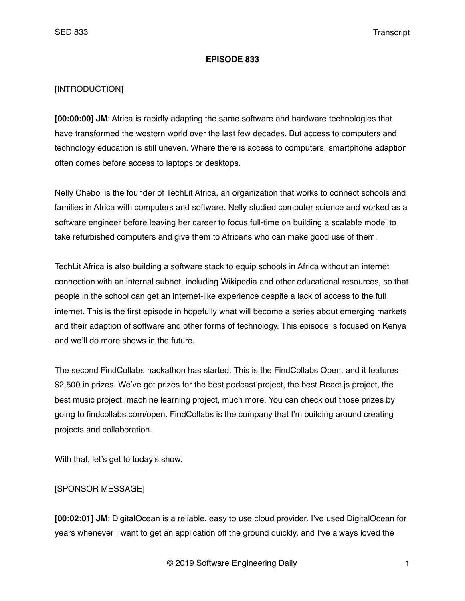#### **EPISODE 833**

### [INTRODUCTION]

**[00:00:00] JM**: Africa is rapidly adapting the same software and hardware technologies that have transformed the western world over the last few decades. But access to computers and technology education is still uneven. Where there is access to computers, smartphone adaption often comes before access to laptops or desktops.

Nelly Cheboi is the founder of TechLit Africa, an organization that works to connect schools and families in Africa with computers and software. Nelly studied computer science and worked as a software engineer before leaving her career to focus full-time on building a scalable model to take refurbished computers and give them to Africans who can make good use of them.

TechLit Africa is also building a software stack to equip schools in Africa without an internet connection with an internal subnet, including Wikipedia and other educational resources, so that people in the school can get an internet-like experience despite a lack of access to the full internet. This is the first episode in hopefully what will become a series about emerging markets and their adaption of software and other forms of technology. This episode is focused on Kenya and we'll do more shows in the future.

The second FindCollabs hackathon has started. This is the FindCollabs Open, and it features \$2,500 in prizes. We've got prizes for the best podcast project, the best React.js project, the best music project, machine learning project, much more. You can check out those prizes by going to findcollabs.com/open. FindCollabs is the company that I'm building around creating projects and collaboration.

With that, let's get to today's show.

## [SPONSOR MESSAGE]

**[00:02:01] JM**: DigitalOcean is a reliable, easy to use cloud provider. I've used DigitalOcean for years whenever I want to get an application off the ground quickly, and I've always loved the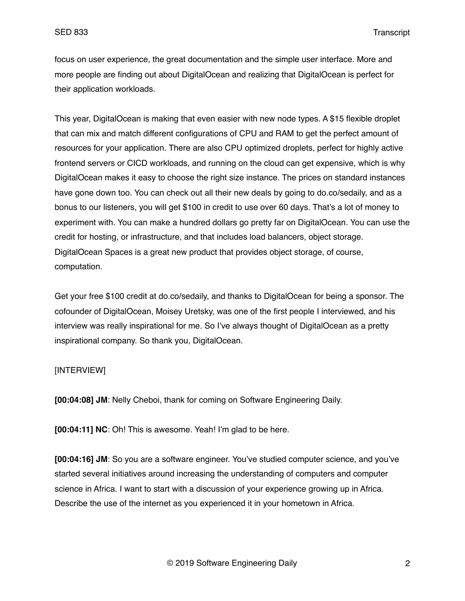focus on user experience, the great documentation and the simple user interface. More and more people are finding out about DigitalOcean and realizing that DigitalOcean is perfect for their application workloads.

This year, DigitalOcean is making that even easier with new node types. A \$15 flexible droplet that can mix and match different configurations of CPU and RAM to get the perfect amount of resources for your application. There are also CPU optimized droplets, perfect for highly active frontend servers or CICD workloads, and running on the cloud can get expensive, which is why DigitalOcean makes it easy to choose the right size instance. The prices on standard instances have gone down too. You can check out all their new deals by going to do.co/sedaily, and as a bonus to our listeners, you will get \$100 in credit to use over 60 days. That's a lot of money to experiment with. You can make a hundred dollars go pretty far on DigitalOcean. You can use the credit for hosting, or infrastructure, and that includes load balancers, object storage. DigitalOcean Spaces is a great new product that provides object storage, of course, computation.

Get your free \$100 credit at do.co/sedaily, and thanks to DigitalOcean for being a sponsor. The cofounder of DigitalOcean, Moisey Uretsky, was one of the first people I interviewed, and his interview was really inspirational for me. So I've always thought of DigitalOcean as a pretty inspirational company. So thank you, DigitalOcean.

### [INTERVIEW]

**[00:04:08] JM**: Nelly Cheboi, thank for coming on Software Engineering Daily.

**[00:04:11] NC**: Oh! This is awesome. Yeah! I'm glad to be here.

**[00:04:16] JM**: So you are a software engineer. You've studied computer science, and you've started several initiatives around increasing the understanding of computers and computer science in Africa. I want to start with a discussion of your experience growing up in Africa. Describe the use of the internet as you experienced it in your hometown in Africa.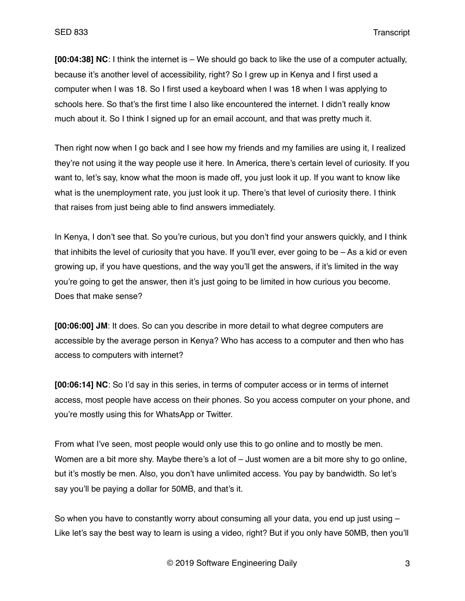**[00:04:38] NC**: I think the internet is – We should go back to like the use of a computer actually, because it's another level of accessibility, right? So I grew up in Kenya and I first used a computer when I was 18. So I first used a keyboard when I was 18 when I was applying to schools here. So that's the first time I also like encountered the internet. I didn't really know much about it. So I think I signed up for an email account, and that was pretty much it.

Then right now when I go back and I see how my friends and my families are using it, I realized they're not using it the way people use it here. In America, there's certain level of curiosity. If you want to, let's say, know what the moon is made off, you just look it up. If you want to know like what is the unemployment rate, you just look it up. There's that level of curiosity there. I think that raises from just being able to find answers immediately.

In Kenya, I don't see that. So you're curious, but you don't find your answers quickly, and I think that inhibits the level of curiosity that you have. If you'll ever, ever going to be – As a kid or even growing up, if you have questions, and the way you'll get the answers, if it's limited in the way you're going to get the answer, then it's just going to be limited in how curious you become. Does that make sense?

**[00:06:00] JM**: It does. So can you describe in more detail to what degree computers are accessible by the average person in Kenya? Who has access to a computer and then who has access to computers with internet?

**[00:06:14] NC**: So I'd say in this series, in terms of computer access or in terms of internet access, most people have access on their phones. So you access computer on your phone, and you're mostly using this for WhatsApp or Twitter.

From what I've seen, most people would only use this to go online and to mostly be men. Women are a bit more shy. Maybe there's a lot of – Just women are a bit more shy to go online, but it's mostly be men. Also, you don't have unlimited access. You pay by bandwidth. So let's say you'll be paying a dollar for 50MB, and that's it.

So when you have to constantly worry about consuming all your data, you end up just using  $-$ Like let's say the best way to learn is using a video, right? But if you only have 50MB, then you'll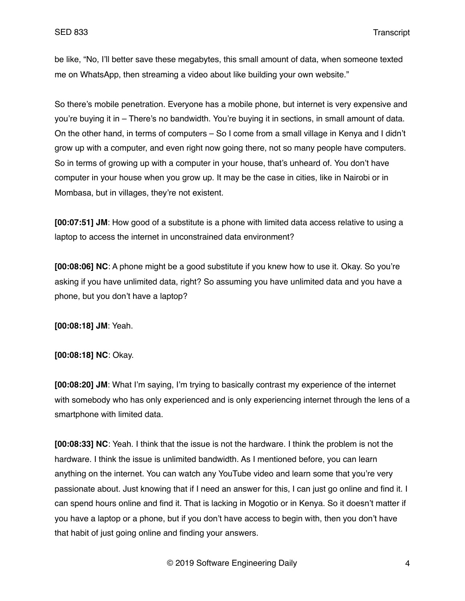be like, "No, I'll better save these megabytes, this small amount of data, when someone texted me on WhatsApp, then streaming a video about like building your own website."

So there's mobile penetration. Everyone has a mobile phone, but internet is very expensive and you're buying it in – There's no bandwidth. You're buying it in sections, in small amount of data. On the other hand, in terms of computers – So I come from a small village in Kenya and I didn't grow up with a computer, and even right now going there, not so many people have computers. So in terms of growing up with a computer in your house, that's unheard of. You don't have computer in your house when you grow up. It may be the case in cities, like in Nairobi or in Mombasa, but in villages, they're not existent.

**[00:07:51] JM**: How good of a substitute is a phone with limited data access relative to using a laptop to access the internet in unconstrained data environment?

**[00:08:06] NC**: A phone might be a good substitute if you knew how to use it. Okay. So you're asking if you have unlimited data, right? So assuming you have unlimited data and you have a phone, but you don't have a laptop?

**[00:08:18] JM**: Yeah.

**[00:08:18] NC**: Okay.

**[00:08:20] JM**: What I'm saying, I'm trying to basically contrast my experience of the internet with somebody who has only experienced and is only experiencing internet through the lens of a smartphone with limited data.

**[00:08:33] NC**: Yeah. I think that the issue is not the hardware. I think the problem is not the hardware. I think the issue is unlimited bandwidth. As I mentioned before, you can learn anything on the internet. You can watch any YouTube video and learn some that you're very passionate about. Just knowing that if I need an answer for this, I can just go online and find it. I can spend hours online and find it. That is lacking in Mogotio or in Kenya. So it doesn't matter if you have a laptop or a phone, but if you don't have access to begin with, then you don't have that habit of just going online and finding your answers.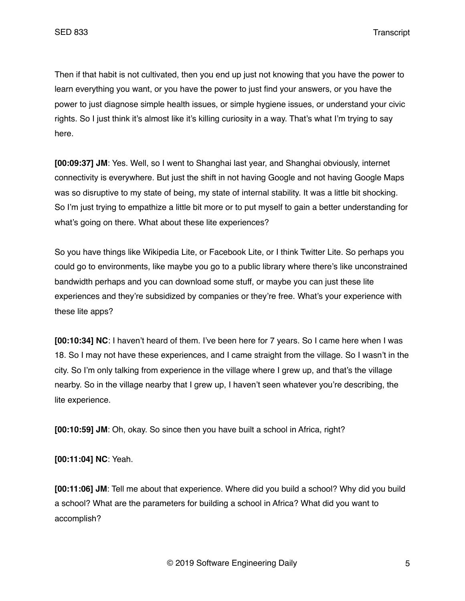Then if that habit is not cultivated, then you end up just not knowing that you have the power to learn everything you want, or you have the power to just find your answers, or you have the power to just diagnose simple health issues, or simple hygiene issues, or understand your civic rights. So I just think it's almost like it's killing curiosity in a way. That's what I'm trying to say here.

**[00:09:37] JM**: Yes. Well, so I went to Shanghai last year, and Shanghai obviously, internet connectivity is everywhere. But just the shift in not having Google and not having Google Maps was so disruptive to my state of being, my state of internal stability. It was a little bit shocking. So I'm just trying to empathize a little bit more or to put myself to gain a better understanding for what's going on there. What about these lite experiences?

So you have things like Wikipedia Lite, or Facebook Lite, or I think Twitter Lite. So perhaps you could go to environments, like maybe you go to a public library where there's like unconstrained bandwidth perhaps and you can download some stuff, or maybe you can just these lite experiences and they're subsidized by companies or they're free. What's your experience with these lite apps?

**[00:10:34] NC**: I haven't heard of them. I've been here for 7 years. So I came here when I was 18. So I may not have these experiences, and I came straight from the village. So I wasn't in the city. So I'm only talking from experience in the village where I grew up, and that's the village nearby. So in the village nearby that I grew up, I haven't seen whatever you're describing, the lite experience.

**[00:10:59] JM**: Oh, okay. So since then you have built a school in Africa, right?

**[00:11:04] NC**: Yeah.

**[00:11:06] JM**: Tell me about that experience. Where did you build a school? Why did you build a school? What are the parameters for building a school in Africa? What did you want to accomplish?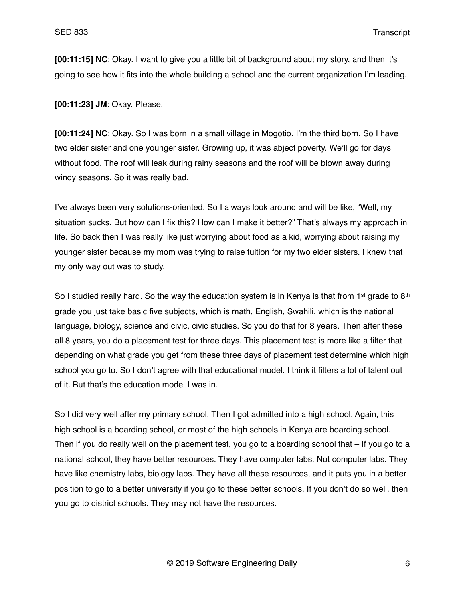**[00:11:15] NC**: Okay. I want to give you a little bit of background about my story, and then it's going to see how it fits into the whole building a school and the current organization I'm leading.

**[00:11:23] JM**: Okay. Please.

**[00:11:24] NC**: Okay. So I was born in a small village in Mogotio. I'm the third born. So I have two elder sister and one younger sister. Growing up, it was abject poverty. We'll go for days without food. The roof will leak during rainy seasons and the roof will be blown away during windy seasons. So it was really bad.

I've always been very solutions-oriented. So I always look around and will be like, "Well, my situation sucks. But how can I fix this? How can I make it better?" That's always my approach in life. So back then I was really like just worrying about food as a kid, worrying about raising my younger sister because my mom was trying to raise tuition for my two elder sisters. I knew that my only way out was to study.

So I studied really hard. So the way the education system is in Kenya is that from 1<sup>st</sup> grade to 8<sup>th</sup> grade you just take basic five subjects, which is math, English, Swahili, which is the national language, biology, science and civic, civic studies. So you do that for 8 years. Then after these all 8 years, you do a placement test for three days. This placement test is more like a filter that depending on what grade you get from these three days of placement test determine which high school you go to. So I don't agree with that educational model. I think it filters a lot of talent out of it. But that's the education model I was in.

So I did very well after my primary school. Then I got admitted into a high school. Again, this high school is a boarding school, or most of the high schools in Kenya are boarding school. Then if you do really well on the placement test, you go to a boarding school that – If you go to a national school, they have better resources. They have computer labs. Not computer labs. They have like chemistry labs, biology labs. They have all these resources, and it puts you in a better position to go to a better university if you go to these better schools. If you don't do so well, then you go to district schools. They may not have the resources.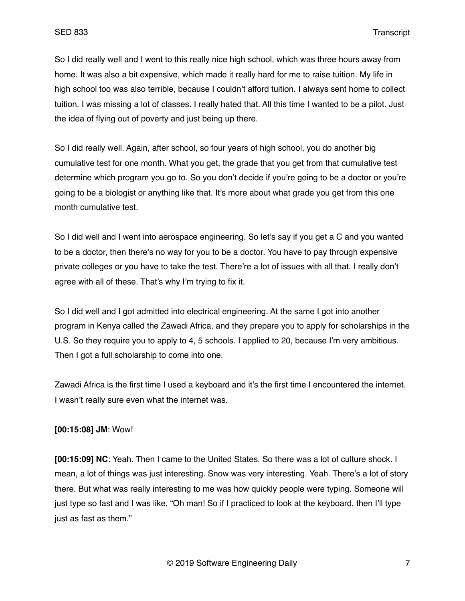So I did really well and I went to this really nice high school, which was three hours away from home. It was also a bit expensive, which made it really hard for me to raise tuition. My life in high school too was also terrible, because I couldn't afford tuition. I always sent home to collect tuition. I was missing a lot of classes. I really hated that. All this time I wanted to be a pilot. Just the idea of flying out of poverty and just being up there.

So I did really well. Again, after school, so four years of high school, you do another big cumulative test for one month. What you get, the grade that you get from that cumulative test determine which program you go to. So you don't decide if you're going to be a doctor or you're going to be a biologist or anything like that. It's more about what grade you get from this one month cumulative test.

So I did well and I went into aerospace engineering. So let's say if you get a C and you wanted to be a doctor, then there's no way for you to be a doctor. You have to pay through expensive private colleges or you have to take the test. There're a lot of issues with all that. I really don't agree with all of these. That's why I'm trying to fix it.

So I did well and I got admitted into electrical engineering. At the same I got into another program in Kenya called the Zawadi Africa, and they prepare you to apply for scholarships in the U.S. So they require you to apply to 4, 5 schools. I applied to 20, because I'm very ambitious. Then I got a full scholarship to come into one.

Zawadi Africa is the first time I used a keyboard and it's the first time I encountered the internet. I wasn't really sure even what the internet was.

### **[00:15:08] JM**: Wow!

**[00:15:09] NC**: Yeah. Then I came to the United States. So there was a lot of culture shock. I mean, a lot of things was just interesting. Snow was very interesting. Yeah. There's a lot of story there. But what was really interesting to me was how quickly people were typing. Someone will just type so fast and I was like, "Oh man! So if I practiced to look at the keyboard, then I'll type just as fast as them."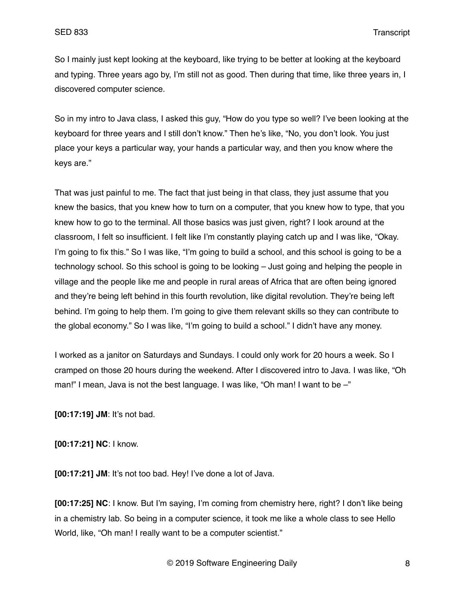So I mainly just kept looking at the keyboard, like trying to be better at looking at the keyboard and typing. Three years ago by, I'm still not as good. Then during that time, like three years in, I discovered computer science.

So in my intro to Java class, I asked this guy, "How do you type so well? I've been looking at the keyboard for three years and I still don't know." Then he's like, "No, you don't look. You just place your keys a particular way, your hands a particular way, and then you know where the keys are."

That was just painful to me. The fact that just being in that class, they just assume that you knew the basics, that you knew how to turn on a computer, that you knew how to type, that you knew how to go to the terminal. All those basics was just given, right? I look around at the classroom, I felt so insufficient. I felt like I'm constantly playing catch up and I was like, "Okay. I'm going to fix this." So I was like, "I'm going to build a school, and this school is going to be a technology school. So this school is going to be looking – Just going and helping the people in village and the people like me and people in rural areas of Africa that are often being ignored and they're being left behind in this fourth revolution, like digital revolution. They're being left behind. I'm going to help them. I'm going to give them relevant skills so they can contribute to the global economy." So I was like, "I'm going to build a school." I didn't have any money.

I worked as a janitor on Saturdays and Sundays. I could only work for 20 hours a week. So I cramped on those 20 hours during the weekend. After I discovered intro to Java. I was like, "Oh man!" I mean, Java is not the best language. I was like, "Oh man! I want to be -"

**[00:17:19] JM**: It's not bad.

**[00:17:21] NC**: I know.

**[00:17:21] JM**: It's not too bad. Hey! I've done a lot of Java.

**[00:17:25] NC**: I know. But I'm saying, I'm coming from chemistry here, right? I don't like being in a chemistry lab. So being in a computer science, it took me like a whole class to see Hello World, like, "Oh man! I really want to be a computer scientist."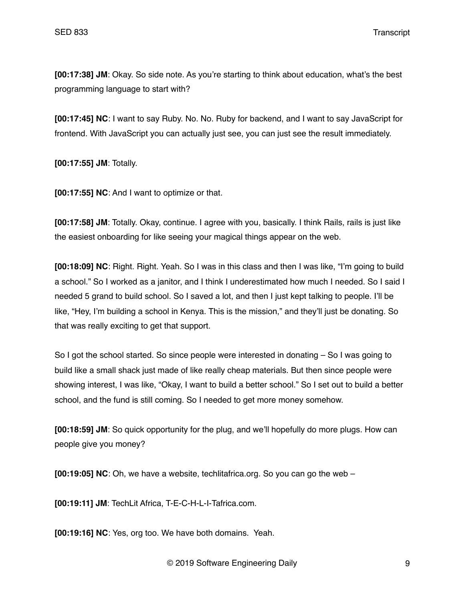**[00:17:38] JM**: Okay. So side note. As you're starting to think about education, what's the best programming language to start with?

**[00:17:45] NC**: I want to say Ruby. No. No. Ruby for backend, and I want to say JavaScript for frontend. With JavaScript you can actually just see, you can just see the result immediately.

**[00:17:55] JM**: Totally.

**[00:17:55] NC**: And I want to optimize or that.

**[00:17:58] JM**: Totally. Okay, continue. I agree with you, basically. I think Rails, rails is just like the easiest onboarding for like seeing your magical things appear on the web.

**[00:18:09] NC**: Right. Right. Yeah. So I was in this class and then I was like, "I'm going to build a school." So I worked as a janitor, and I think I underestimated how much I needed. So I said I needed 5 grand to build school. So I saved a lot, and then I just kept talking to people. I'll be like, "Hey, I'm building a school in Kenya. This is the mission," and they'll just be donating. So that was really exciting to get that support.

So I got the school started. So since people were interested in donating – So I was going to build like a small shack just made of like really cheap materials. But then since people were showing interest, I was like, "Okay, I want to build a better school." So I set out to build a better school, and the fund is still coming. So I needed to get more money somehow.

**[00:18:59] JM**: So quick opportunity for the plug, and we'll hopefully do more plugs. How can people give you money?

**[00:19:05] NC**: Oh, we have a website, techlitafrica.org. So you can go the web –

**[00:19:11] JM**: TechLit Africa, T-E-C-H-L-I-Tafrica.com.

**[00:19:16] NC**: Yes, org too. We have both domains. Yeah.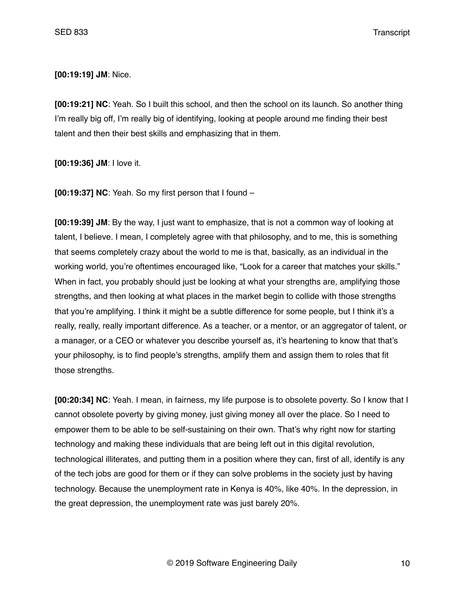**[00:19:19] JM**: Nice.

**[00:19:21] NC**: Yeah. So I built this school, and then the school on its launch. So another thing I'm really big off, I'm really big of identifying, looking at people around me finding their best talent and then their best skills and emphasizing that in them.

**[00:19:36] JM**: I love it.

**[00:19:37] NC**: Yeah. So my first person that I found –

**[00:19:39] JM**: By the way, I just want to emphasize, that is not a common way of looking at talent, I believe. I mean, I completely agree with that philosophy, and to me, this is something that seems completely crazy about the world to me is that, basically, as an individual in the working world, you're oftentimes encouraged like, "Look for a career that matches your skills." When in fact, you probably should just be looking at what your strengths are, amplifying those strengths, and then looking at what places in the market begin to collide with those strengths that you're amplifying. I think it might be a subtle difference for some people, but I think it's a really, really, really important difference. As a teacher, or a mentor, or an aggregator of talent, or a manager, or a CEO or whatever you describe yourself as, it's heartening to know that that's your philosophy, is to find people's strengths, amplify them and assign them to roles that fit those strengths.

**[00:20:34] NC**: Yeah. I mean, in fairness, my life purpose is to obsolete poverty. So I know that I cannot obsolete poverty by giving money, just giving money all over the place. So I need to empower them to be able to be self-sustaining on their own. That's why right now for starting technology and making these individuals that are being left out in this digital revolution, technological illiterates, and putting them in a position where they can, first of all, identify is any of the tech jobs are good for them or if they can solve problems in the society just by having technology. Because the unemployment rate in Kenya is 40%, like 40%. In the depression, in the great depression, the unemployment rate was just barely 20%.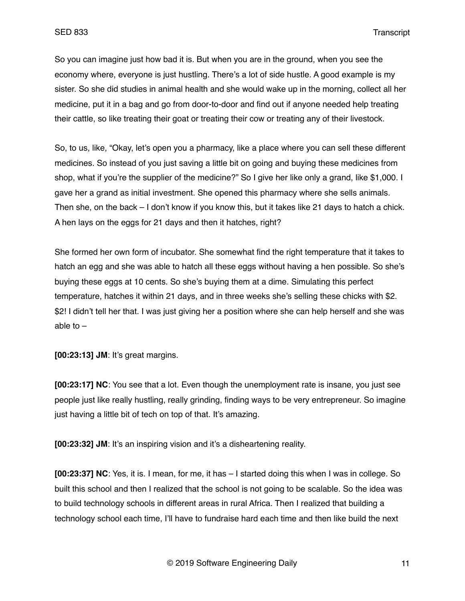So you can imagine just how bad it is. But when you are in the ground, when you see the economy where, everyone is just hustling. There's a lot of side hustle. A good example is my sister. So she did studies in animal health and she would wake up in the morning, collect all her medicine, put it in a bag and go from door-to-door and find out if anyone needed help treating their cattle, so like treating their goat or treating their cow or treating any of their livestock.

So, to us, like, "Okay, let's open you a pharmacy, like a place where you can sell these different medicines. So instead of you just saving a little bit on going and buying these medicines from shop, what if you're the supplier of the medicine?" So I give her like only a grand, like \$1,000. I gave her a grand as initial investment. She opened this pharmacy where she sells animals. Then she, on the back – I don't know if you know this, but it takes like 21 days to hatch a chick. A hen lays on the eggs for 21 days and then it hatches, right?

She formed her own form of incubator. She somewhat find the right temperature that it takes to hatch an egg and she was able to hatch all these eggs without having a hen possible. So she's buying these eggs at 10 cents. So she's buying them at a dime. Simulating this perfect temperature, hatches it within 21 days, and in three weeks she's selling these chicks with \$2. \$2! I didn't tell her that. I was just giving her a position where she can help herself and she was able to  $-$ 

**[00:23:13] JM**: It's great margins.

**[00:23:17] NC**: You see that a lot. Even though the unemployment rate is insane, you just see people just like really hustling, really grinding, finding ways to be very entrepreneur. So imagine just having a little bit of tech on top of that. It's amazing.

**[00:23:32] JM**: It's an inspiring vision and it's a disheartening reality.

**[00:23:37] NC**: Yes, it is. I mean, for me, it has – I started doing this when I was in college. So built this school and then I realized that the school is not going to be scalable. So the idea was to build technology schools in different areas in rural Africa. Then I realized that building a technology school each time, I'll have to fundraise hard each time and then like build the next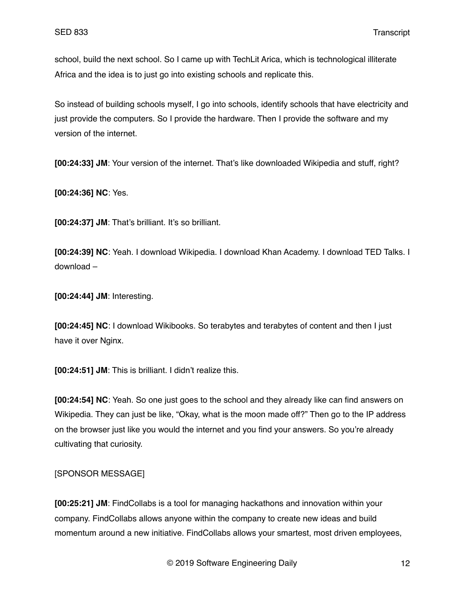school, build the next school. So I came up with TechLit Arica, which is technological illiterate Africa and the idea is to just go into existing schools and replicate this.

So instead of building schools myself, I go into schools, identify schools that have electricity and just provide the computers. So I provide the hardware. Then I provide the software and my version of the internet.

**[00:24:33] JM**: Your version of the internet. That's like downloaded Wikipedia and stuff, right?

**[00:24:36] NC**: Yes.

**[00:24:37] JM**: That's brilliant. It's so brilliant.

**[00:24:39] NC**: Yeah. I download Wikipedia. I download Khan Academy. I download TED Talks. I download –

**[00:24:44] JM**: Interesting.

**[00:24:45] NC**: I download Wikibooks. So terabytes and terabytes of content and then I just have it over Nginx.

**[00:24:51] JM**: This is brilliant. I didn't realize this.

**[00:24:54] NC**: Yeah. So one just goes to the school and they already like can find answers on Wikipedia. They can just be like, "Okay, what is the moon made off?" Then go to the IP address on the browser just like you would the internet and you find your answers. So you're already cultivating that curiosity.

### [SPONSOR MESSAGE]

**[00:25:21] JM**: FindCollabs is a tool for managing hackathons and innovation within your company. FindCollabs allows anyone within the company to create new ideas and build momentum around a new initiative. FindCollabs allows your smartest, most driven employees,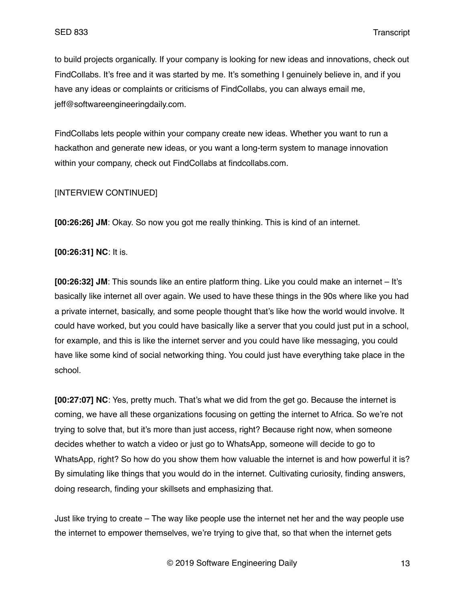to build projects organically. If your company is looking for new ideas and innovations, check out FindCollabs. It's free and it was started by me. It's something I genuinely believe in, and if you have any ideas or complaints or criticisms of FindCollabs, you can always email me, jeff@softwareengineeringdaily.com.

FindCollabs lets people within your company create new ideas. Whether you want to run a hackathon and generate new ideas, or you want a long-term system to manage innovation within your company, check out FindCollabs at findcollabs.com.

#### [INTERVIEW CONTINUED]

**[00:26:26] JM**: Okay. So now you got me really thinking. This is kind of an internet.

#### **[00:26:31] NC**: It is.

**[00:26:32] JM**: This sounds like an entire platform thing. Like you could make an internet – It's basically like internet all over again. We used to have these things in the 90s where like you had a private internet, basically, and some people thought that's like how the world would involve. It could have worked, but you could have basically like a server that you could just put in a school, for example, and this is like the internet server and you could have like messaging, you could have like some kind of social networking thing. You could just have everything take place in the school.

**[00:27:07] NC**: Yes, pretty much. That's what we did from the get go. Because the internet is coming, we have all these organizations focusing on getting the internet to Africa. So we're not trying to solve that, but it's more than just access, right? Because right now, when someone decides whether to watch a video or just go to WhatsApp, someone will decide to go to WhatsApp, right? So how do you show them how valuable the internet is and how powerful it is? By simulating like things that you would do in the internet. Cultivating curiosity, finding answers, doing research, finding your skillsets and emphasizing that.

Just like trying to create – The way like people use the internet net her and the way people use the internet to empower themselves, we're trying to give that, so that when the internet gets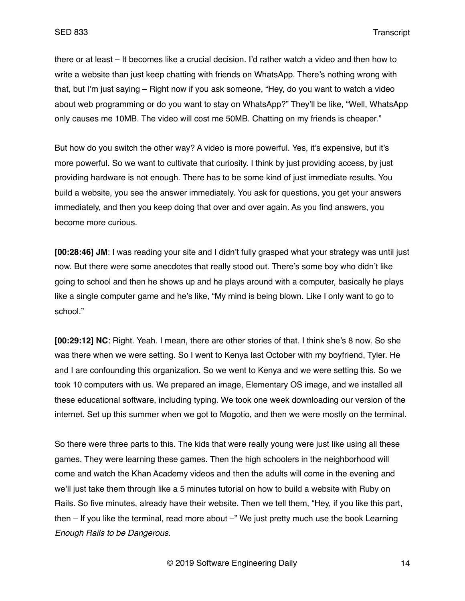there or at least – It becomes like a crucial decision. I'd rather watch a video and then how to write a website than just keep chatting with friends on WhatsApp. There's nothing wrong with that, but I'm just saying – Right now if you ask someone, "Hey, do you want to watch a video about web programming or do you want to stay on WhatsApp?" They'll be like, "Well, WhatsApp only causes me 10MB. The video will cost me 50MB. Chatting on my friends is cheaper."

But how do you switch the other way? A video is more powerful. Yes, it's expensive, but it's more powerful. So we want to cultivate that curiosity. I think by just providing access, by just providing hardware is not enough. There has to be some kind of just immediate results. You build a website, you see the answer immediately. You ask for questions, you get your answers immediately, and then you keep doing that over and over again. As you find answers, you become more curious.

**[00:28:46] JM**: I was reading your site and I didn't fully grasped what your strategy was until just now. But there were some anecdotes that really stood out. There's some boy who didn't like going to school and then he shows up and he plays around with a computer, basically he plays like a single computer game and he's like, "My mind is being blown. Like I only want to go to school."

**[00:29:12] NC**: Right. Yeah. I mean, there are other stories of that. I think she's 8 now. So she was there when we were setting. So I went to Kenya last October with my boyfriend, Tyler. He and I are confounding this organization. So we went to Kenya and we were setting this. So we took 10 computers with us. We prepared an image, Elementary OS image, and we installed all these educational software, including typing. We took one week downloading our version of the internet. Set up this summer when we got to Mogotio, and then we were mostly on the terminal.

So there were three parts to this. The kids that were really young were just like using all these games. They were learning these games. Then the high schoolers in the neighborhood will come and watch the Khan Academy videos and then the adults will come in the evening and we'll just take them through like a 5 minutes tutorial on how to build a website with Ruby on Rails. So five minutes, already have their website. Then we tell them, "Hey, if you like this part, then - If you like the terminal, read more about -" We just pretty much use the book Learning *Enough Rails to be Dangerous*.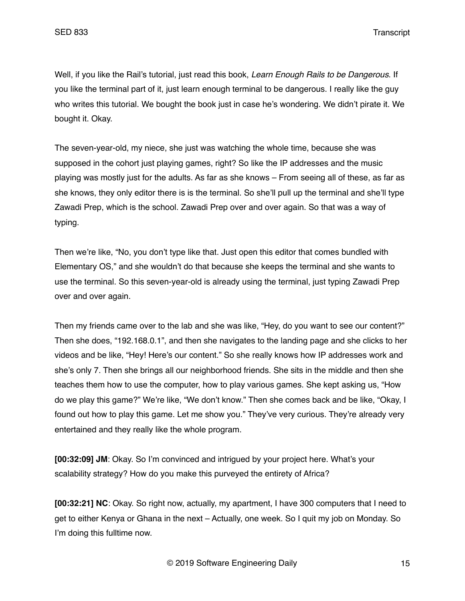Well, if you like the Rail's tutorial, just read this book, *Learn Enough Rails to be Dangerous*. If you like the terminal part of it, just learn enough terminal to be dangerous. I really like the guy who writes this tutorial. We bought the book just in case he's wondering. We didn't pirate it. We bought it. Okay.

The seven-year-old, my niece, she just was watching the whole time, because she was supposed in the cohort just playing games, right? So like the IP addresses and the music playing was mostly just for the adults. As far as she knows – From seeing all of these, as far as she knows, they only editor there is is the terminal. So she'll pull up the terminal and she'll type Zawadi Prep, which is the school. Zawadi Prep over and over again. So that was a way of typing.

Then we're like, "No, you don't type like that. Just open this editor that comes bundled with Elementary OS," and she wouldn't do that because she keeps the terminal and she wants to use the terminal. So this seven-year-old is already using the terminal, just typing Zawadi Prep over and over again.

Then my friends came over to the lab and she was like, "Hey, do you want to see our content?" Then she does, "192.168.0.1", and then she navigates to the landing page and she clicks to her videos and be like, "Hey! Here's our content." So she really knows how IP addresses work and she's only 7. Then she brings all our neighborhood friends. She sits in the middle and then she teaches them how to use the computer, how to play various games. She kept asking us, "How do we play this game?" We're like, "We don't know." Then she comes back and be like, "Okay, I found out how to play this game. Let me show you." They've very curious. They're already very entertained and they really like the whole program.

**[00:32:09] JM**: Okay. So I'm convinced and intrigued by your project here. What's your scalability strategy? How do you make this purveyed the entirety of Africa?

**[00:32:21] NC**: Okay. So right now, actually, my apartment, I have 300 computers that I need to get to either Kenya or Ghana in the next – Actually, one week. So I quit my job on Monday. So I'm doing this fulltime now.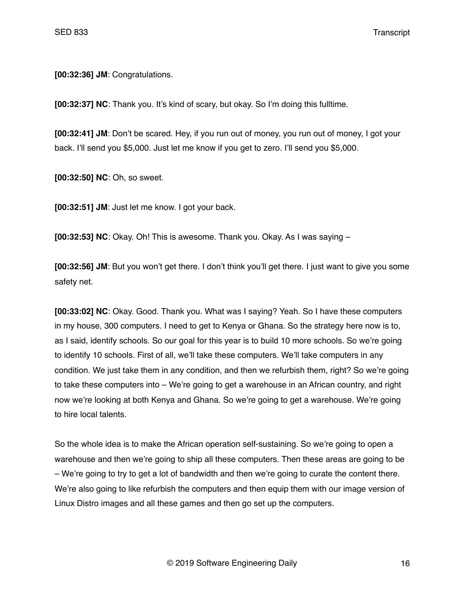**[00:32:36] JM**: Congratulations.

**[00:32:37] NC**: Thank you. It's kind of scary, but okay. So I'm doing this fulltime.

**[00:32:41] JM**: Don't be scared. Hey, if you run out of money, you run out of money, I got your back. I'll send you \$5,000. Just let me know if you get to zero. I'll send you \$5,000.

**[00:32:50] NC**: Oh, so sweet.

**[00:32:51] JM**: Just let me know. I got your back.

**[00:32:53] NC**: Okay. Oh! This is awesome. Thank you. Okay. As I was saying –

**[00:32:56] JM**: But you won't get there. I don't think you'll get there. I just want to give you some safety net.

**[00:33:02] NC**: Okay. Good. Thank you. What was I saying? Yeah. So I have these computers in my house, 300 computers. I need to get to Kenya or Ghana. So the strategy here now is to, as I said, identify schools. So our goal for this year is to build 10 more schools. So we're going to identify 10 schools. First of all, we'll take these computers. We'll take computers in any condition. We just take them in any condition, and then we refurbish them, right? So we're going to take these computers into – We're going to get a warehouse in an African country, and right now we're looking at both Kenya and Ghana. So we're going to get a warehouse. We're going to hire local talents.

So the whole idea is to make the African operation self-sustaining. So we're going to open a warehouse and then we're going to ship all these computers. Then these areas are going to be – We're going to try to get a lot of bandwidth and then we're going to curate the content there. We're also going to like refurbish the computers and then equip them with our image version of Linux Distro images and all these games and then go set up the computers.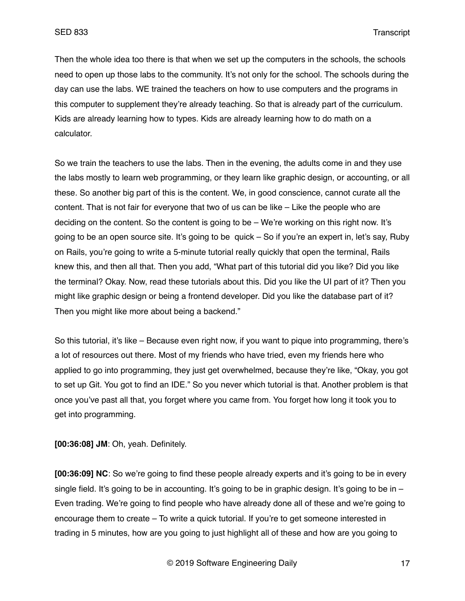Then the whole idea too there is that when we set up the computers in the schools, the schools need to open up those labs to the community. It's not only for the school. The schools during the day can use the labs. WE trained the teachers on how to use computers and the programs in this computer to supplement they're already teaching. So that is already part of the curriculum. Kids are already learning how to types. Kids are already learning how to do math on a calculator.

So we train the teachers to use the labs. Then in the evening, the adults come in and they use the labs mostly to learn web programming, or they learn like graphic design, or accounting, or all these. So another big part of this is the content. We, in good conscience, cannot curate all the content. That is not fair for everyone that two of us can be like – Like the people who are deciding on the content. So the content is going to be – We're working on this right now. It's going to be an open source site. It's going to be quick – So if you're an expert in, let's say, Ruby on Rails, you're going to write a 5-minute tutorial really quickly that open the terminal, Rails knew this, and then all that. Then you add, "What part of this tutorial did you like? Did you like the terminal? Okay. Now, read these tutorials about this. Did you like the UI part of it? Then you might like graphic design or being a frontend developer. Did you like the database part of it? Then you might like more about being a backend."

So this tutorial, it's like – Because even right now, if you want to pique into programming, there's a lot of resources out there. Most of my friends who have tried, even my friends here who applied to go into programming, they just get overwhelmed, because they're like, "Okay, you got to set up Git. You got to find an IDE." So you never which tutorial is that. Another problem is that once you've past all that, you forget where you came from. You forget how long it took you to get into programming.

**[00:36:08] JM**: Oh, yeah. Definitely.

**[00:36:09] NC**: So we're going to find these people already experts and it's going to be in every single field. It's going to be in accounting. It's going to be in graphic design. It's going to be in  $-$ Even trading. We're going to find people who have already done all of these and we're going to encourage them to create – To write a quick tutorial. If you're to get someone interested in trading in 5 minutes, how are you going to just highlight all of these and how are you going to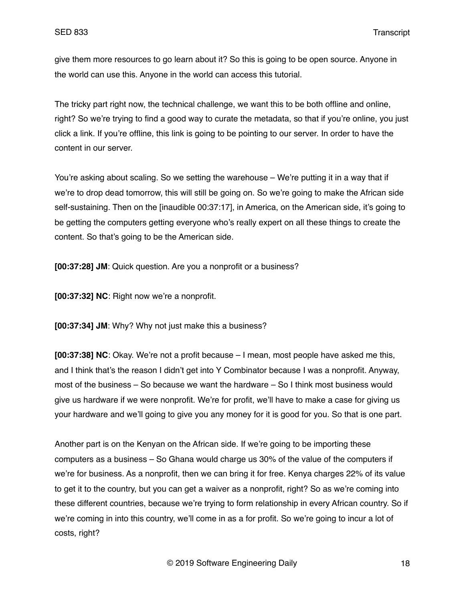give them more resources to go learn about it? So this is going to be open source. Anyone in the world can use this. Anyone in the world can access this tutorial.

The tricky part right now, the technical challenge, we want this to be both offline and online, right? So we're trying to find a good way to curate the metadata, so that if you're online, you just click a link. If you're offline, this link is going to be pointing to our server. In order to have the content in our server.

You're asking about scaling. So we setting the warehouse – We're putting it in a way that if we're to drop dead tomorrow, this will still be going on. So we're going to make the African side self-sustaining. Then on the [inaudible 00:37:17], in America, on the American side, it's going to be getting the computers getting everyone who's really expert on all these things to create the content. So that's going to be the American side.

**[00:37:28] JM**: Quick question. Are you a nonprofit or a business?

**[00:37:32] NC**: Right now we're a nonprofit.

**[00:37:34] JM**: Why? Why not just make this a business?

**[00:37:38] NC**: Okay. We're not a profit because – I mean, most people have asked me this, and I think that's the reason I didn't get into Y Combinator because I was a nonprofit. Anyway, most of the business – So because we want the hardware – So I think most business would give us hardware if we were nonprofit. We're for profit, we'll have to make a case for giving us your hardware and we'll going to give you any money for it is good for you. So that is one part.

Another part is on the Kenyan on the African side. If we're going to be importing these computers as a business – So Ghana would charge us 30% of the value of the computers if we're for business. As a nonprofit, then we can bring it for free. Kenya charges 22% of its value to get it to the country, but you can get a waiver as a nonprofit, right? So as we're coming into these different countries, because we're trying to form relationship in every African country. So if we're coming in into this country, we'll come in as a for profit. So we're going to incur a lot of costs, right?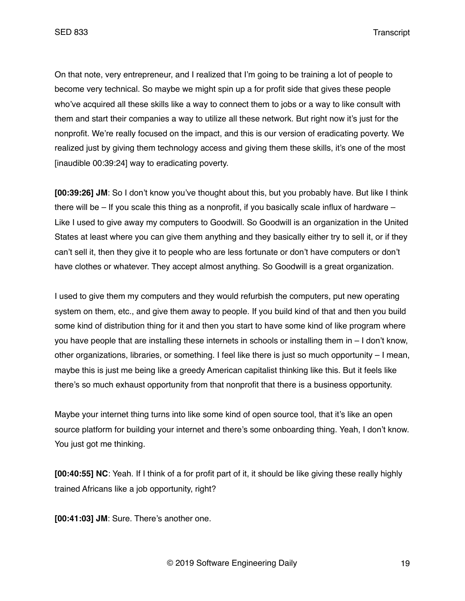On that note, very entrepreneur, and I realized that I'm going to be training a lot of people to become very technical. So maybe we might spin up a for profit side that gives these people who've acquired all these skills like a way to connect them to jobs or a way to like consult with them and start their companies a way to utilize all these network. But right now it's just for the nonprofit. We're really focused on the impact, and this is our version of eradicating poverty. We realized just by giving them technology access and giving them these skills, it's one of the most [inaudible 00:39:24] way to eradicating poverty.

**[00:39:26] JM**: So I don't know you've thought about this, but you probably have. But like I think there will be – If you scale this thing as a nonprofit, if you basically scale influx of hardware – Like I used to give away my computers to Goodwill. So Goodwill is an organization in the United States at least where you can give them anything and they basically either try to sell it, or if they can't sell it, then they give it to people who are less fortunate or don't have computers or don't have clothes or whatever. They accept almost anything. So Goodwill is a great organization.

I used to give them my computers and they would refurbish the computers, put new operating system on them, etc., and give them away to people. If you build kind of that and then you build some kind of distribution thing for it and then you start to have some kind of like program where you have people that are installing these internets in schools or installing them in – I don't know, other organizations, libraries, or something. I feel like there is just so much opportunity – I mean, maybe this is just me being like a greedy American capitalist thinking like this. But it feels like there's so much exhaust opportunity from that nonprofit that there is a business opportunity.

Maybe your internet thing turns into like some kind of open source tool, that it's like an open source platform for building your internet and there's some onboarding thing. Yeah, I don't know. You just got me thinking.

**[00:40:55] NC**: Yeah. If I think of a for profit part of it, it should be like giving these really highly trained Africans like a job opportunity, right?

**[00:41:03] JM**: Sure. There's another one.

© 2019 Software Engineering Daily 19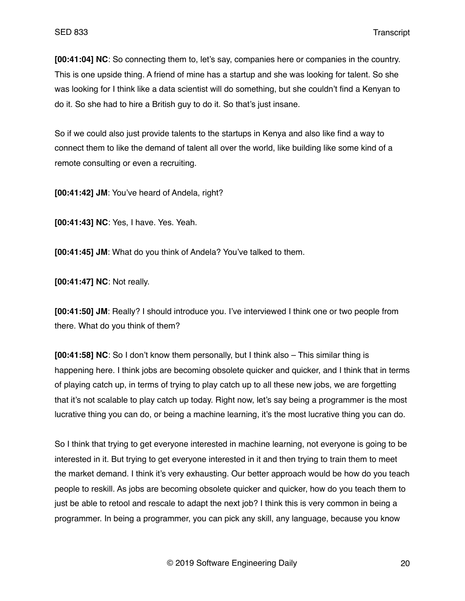**[00:41:04] NC**: So connecting them to, let's say, companies here or companies in the country. This is one upside thing. A friend of mine has a startup and she was looking for talent. So she was looking for I think like a data scientist will do something, but she couldn't find a Kenyan to do it. So she had to hire a British guy to do it. So that's just insane.

So if we could also just provide talents to the startups in Kenya and also like find a way to connect them to like the demand of talent all over the world, like building like some kind of a remote consulting or even a recruiting.

**[00:41:42] JM**: You've heard of Andela, right?

**[00:41:43] NC**: Yes, I have. Yes. Yeah.

**[00:41:45] JM**: What do you think of Andela? You've talked to them.

**[00:41:47] NC**: Not really.

**[00:41:50] JM**: Really? I should introduce you. I've interviewed I think one or two people from there. What do you think of them?

**[00:41:58] NC**: So I don't know them personally, but I think also – This similar thing is happening here. I think jobs are becoming obsolete quicker and quicker, and I think that in terms of playing catch up, in terms of trying to play catch up to all these new jobs, we are forgetting that it's not scalable to play catch up today. Right now, let's say being a programmer is the most lucrative thing you can do, or being a machine learning, it's the most lucrative thing you can do.

So I think that trying to get everyone interested in machine learning, not everyone is going to be interested in it. But trying to get everyone interested in it and then trying to train them to meet the market demand. I think it's very exhausting. Our better approach would be how do you teach people to reskill. As jobs are becoming obsolete quicker and quicker, how do you teach them to just be able to retool and rescale to adapt the next job? I think this is very common in being a programmer. In being a programmer, you can pick any skill, any language, because you know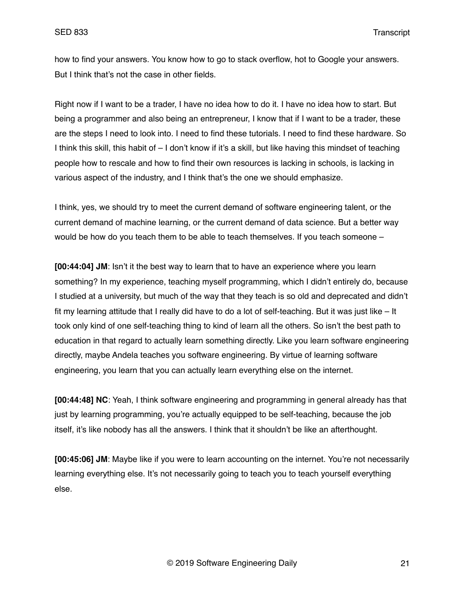how to find your answers. You know how to go to stack overflow, hot to Google your answers. But I think that's not the case in other fields.

Right now if I want to be a trader, I have no idea how to do it. I have no idea how to start. But being a programmer and also being an entrepreneur, I know that if I want to be a trader, these are the steps I need to look into. I need to find these tutorials. I need to find these hardware. So I think this skill, this habit of – I don't know if it's a skill, but like having this mindset of teaching people how to rescale and how to find their own resources is lacking in schools, is lacking in various aspect of the industry, and I think that's the one we should emphasize.

I think, yes, we should try to meet the current demand of software engineering talent, or the current demand of machine learning, or the current demand of data science. But a better way would be how do you teach them to be able to teach themselves. If you teach someone –

**[00:44:04] JM**: Isn't it the best way to learn that to have an experience where you learn something? In my experience, teaching myself programming, which I didn't entirely do, because I studied at a university, but much of the way that they teach is so old and deprecated and didn't fit my learning attitude that I really did have to do a lot of self-teaching. But it was just like – It took only kind of one self-teaching thing to kind of learn all the others. So isn't the best path to education in that regard to actually learn something directly. Like you learn software engineering directly, maybe Andela teaches you software engineering. By virtue of learning software engineering, you learn that you can actually learn everything else on the internet.

**[00:44:48] NC**: Yeah, I think software engineering and programming in general already has that just by learning programming, you're actually equipped to be self-teaching, because the job itself, it's like nobody has all the answers. I think that it shouldn't be like an afterthought.

**[00:45:06] JM**: Maybe like if you were to learn accounting on the internet. You're not necessarily learning everything else. It's not necessarily going to teach you to teach yourself everything else.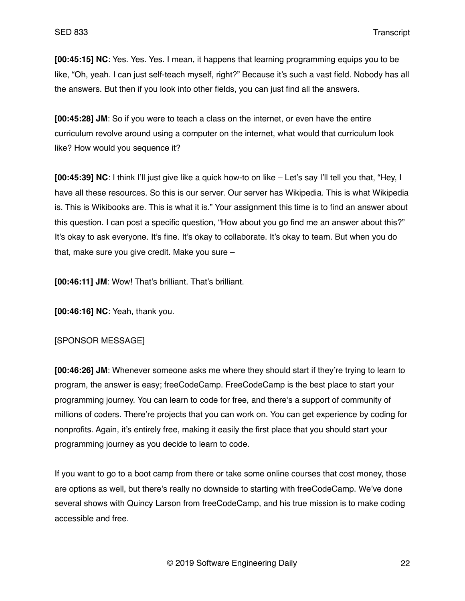**[00:45:15] NC**: Yes. Yes. Yes. I mean, it happens that learning programming equips you to be like, "Oh, yeah. I can just self-teach myself, right?" Because it's such a vast field. Nobody has all the answers. But then if you look into other fields, you can just find all the answers.

**[00:45:28] JM**: So if you were to teach a class on the internet, or even have the entire curriculum revolve around using a computer on the internet, what would that curriculum look like? How would you sequence it?

**[00:45:39] NC**: I think I'll just give like a quick how-to on like – Let's say I'll tell you that, "Hey, I have all these resources. So this is our server. Our server has Wikipedia. This is what Wikipedia is. This is Wikibooks are. This is what it is." Your assignment this time is to find an answer about this question. I can post a specific question, "How about you go find me an answer about this?" It's okay to ask everyone. It's fine. It's okay to collaborate. It's okay to team. But when you do that, make sure you give credit. Make you sure –

**[00:46:11] JM**: Wow! That's brilliant. That's brilliant.

**[00:46:16] NC**: Yeah, thank you.

### [SPONSOR MESSAGE]

**[00:46:26] JM**: Whenever someone asks me where they should start if they're trying to learn to program, the answer is easy; freeCodeCamp. FreeCodeCamp is the best place to start your programming journey. You can learn to code for free, and there's a support of community of millions of coders. There're projects that you can work on. You can get experience by coding for nonprofits. Again, it's entirely free, making it easily the first place that you should start your programming journey as you decide to learn to code.

If you want to go to a boot camp from there or take some online courses that cost money, those are options as well, but there's really no downside to starting with freeCodeCamp. We've done several shows with Quincy Larson from freeCodeCamp, and his true mission is to make coding accessible and free.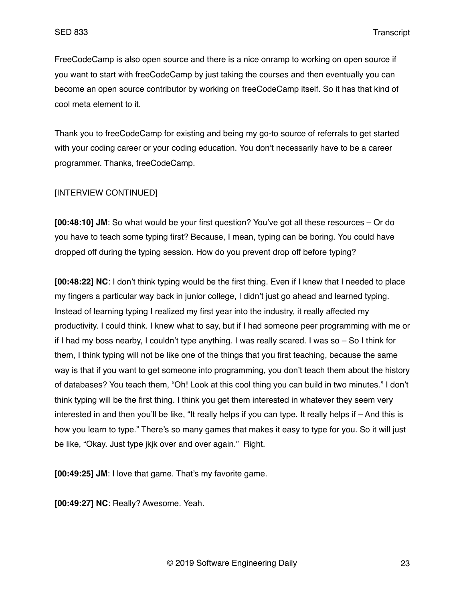FreeCodeCamp is also open source and there is a nice onramp to working on open source if you want to start with freeCodeCamp by just taking the courses and then eventually you can become an open source contributor by working on freeCodeCamp itself. So it has that kind of cool meta element to it.

Thank you to freeCodeCamp for existing and being my go-to source of referrals to get started with your coding career or your coding education. You don't necessarily have to be a career programmer. Thanks, freeCodeCamp.

### [INTERVIEW CONTINUED]

**[00:48:10] JM**: So what would be your first question? You've got all these resources – Or do you have to teach some typing first? Because, I mean, typing can be boring. You could have dropped off during the typing session. How do you prevent drop off before typing?

**[00:48:22] NC**: I don't think typing would be the first thing. Even if I knew that I needed to place my fingers a particular way back in junior college, I didn't just go ahead and learned typing. Instead of learning typing I realized my first year into the industry, it really affected my productivity. I could think. I knew what to say, but if I had someone peer programming with me or if I had my boss nearby, I couldn't type anything. I was really scared. I was so – So I think for them, I think typing will not be like one of the things that you first teaching, because the same way is that if you want to get someone into programming, you don't teach them about the history of databases? You teach them, "Oh! Look at this cool thing you can build in two minutes." I don't think typing will be the first thing. I think you get them interested in whatever they seem very interested in and then you'll be like, "It really helps if you can type. It really helps if – And this is how you learn to type." There's so many games that makes it easy to type for you. So it will just be like, "Okay. Just type jkjk over and over again." Right.

**[00:49:25] JM**: I love that game. That's my favorite game.

**[00:49:27] NC**: Really? Awesome. Yeah.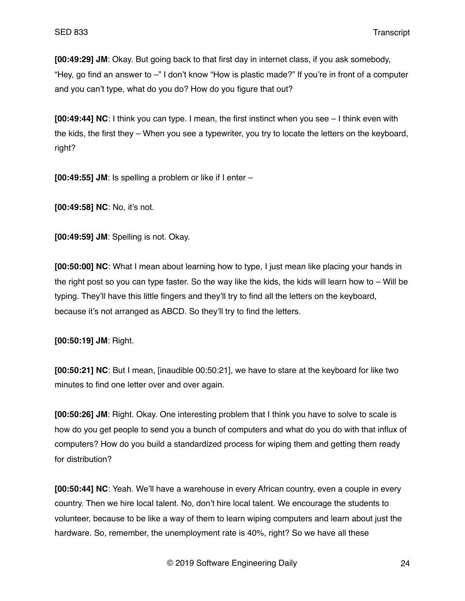**[00:49:29] JM**: Okay. But going back to that first day in internet class, if you ask somebody, "Hey, go find an answer to –" I don't know "How is plastic made?" If you're in front of a computer and you can't type, what do you do? How do you figure that out?

**[00:49:44] NC**: I think you can type. I mean, the first instinct when you see – I think even with the kids, the first they – When you see a typewriter, you try to locate the letters on the keyboard, right?

**[00:49:55] JM**: Is spelling a problem or like if I enter –

**[00:49:58] NC**: No, it's not.

**[00:49:59] JM**: Spelling is not. Okay.

**[00:50:00] NC**: What I mean about learning how to type, I just mean like placing your hands in the right post so you can type faster. So the way like the kids, the kids will learn how to – Will be typing. They'll have this little fingers and they'll try to find all the letters on the keyboard, because it's not arranged as ABCD. So they'll try to find the letters.

**[00:50:19] JM**: Right.

**[00:50:21] NC**: But I mean, [inaudible 00:50:21], we have to stare at the keyboard for like two minutes to find one letter over and over again.

**[00:50:26] JM**: Right. Okay. One interesting problem that I think you have to solve to scale is how do you get people to send you a bunch of computers and what do you do with that influx of computers? How do you build a standardized process for wiping them and getting them ready for distribution?

**[00:50:44] NC**: Yeah. We'll have a warehouse in every African country, even a couple in every country. Then we hire local talent. No, don't hire local talent. We encourage the students to volunteer, because to be like a way of them to learn wiping computers and learn about just the hardware. So, remember, the unemployment rate is 40%, right? So we have all these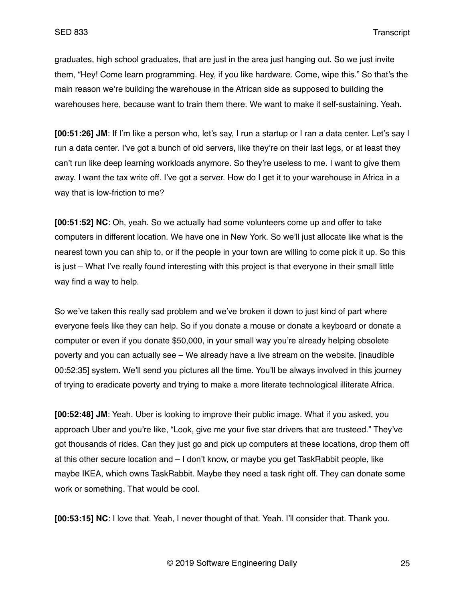graduates, high school graduates, that are just in the area just hanging out. So we just invite them, "Hey! Come learn programming. Hey, if you like hardware. Come, wipe this." So that's the main reason we're building the warehouse in the African side as supposed to building the warehouses here, because want to train them there. We want to make it self-sustaining. Yeah.

**[00:51:26] JM**: If I'm like a person who, let's say, I run a startup or I ran a data center. Let's say I run a data center. I've got a bunch of old servers, like they're on their last legs, or at least they can't run like deep learning workloads anymore. So they're useless to me. I want to give them away. I want the tax write off. I've got a server. How do I get it to your warehouse in Africa in a way that is low-friction to me?

**[00:51:52] NC**: Oh, yeah. So we actually had some volunteers come up and offer to take computers in different location. We have one in New York. So we'll just allocate like what is the nearest town you can ship to, or if the people in your town are willing to come pick it up. So this is just – What I've really found interesting with this project is that everyone in their small little way find a way to help.

So we've taken this really sad problem and we've broken it down to just kind of part where everyone feels like they can help. So if you donate a mouse or donate a keyboard or donate a computer or even if you donate \$50,000, in your small way you're already helping obsolete poverty and you can actually see – We already have a live stream on the website. [inaudible 00:52:35] system. We'll send you pictures all the time. You'll be always involved in this journey of trying to eradicate poverty and trying to make a more literate technological illiterate Africa.

**[00:52:48] JM**: Yeah. Uber is looking to improve their public image. What if you asked, you approach Uber and you're like, "Look, give me your five star drivers that are trusteed." They've got thousands of rides. Can they just go and pick up computers at these locations, drop them off at this other secure location and – I don't know, or maybe you get TaskRabbit people, like maybe IKEA, which owns TaskRabbit. Maybe they need a task right off. They can donate some work or something. That would be cool.

**[00:53:15] NC**: I love that. Yeah, I never thought of that. Yeah. I'll consider that. Thank you.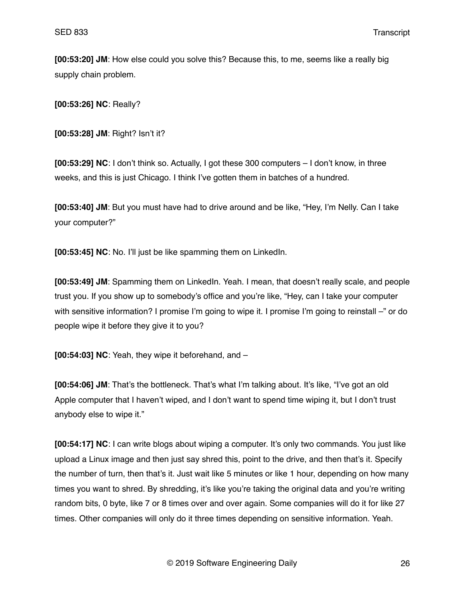**[00:53:20] JM**: How else could you solve this? Because this, to me, seems like a really big supply chain problem.

**[00:53:26] NC**: Really?

**[00:53:28] JM**: Right? Isn't it?

**[00:53:29] NC**: I don't think so. Actually, I got these 300 computers – I don't know, in three weeks, and this is just Chicago. I think I've gotten them in batches of a hundred.

**[00:53:40] JM**: But you must have had to drive around and be like, "Hey, I'm Nelly. Can I take your computer?"

**[00:53:45] NC**: No. I'll just be like spamming them on LinkedIn.

**[00:53:49] JM**: Spamming them on LinkedIn. Yeah. I mean, that doesn't really scale, and people trust you. If you show up to somebody's office and you're like, "Hey, can I take your computer with sensitive information? I promise I'm going to wipe it. I promise I'm going to reinstall –" or do people wipe it before they give it to you?

**[00:54:03] NC**: Yeah, they wipe it beforehand, and –

**[00:54:06] JM**: That's the bottleneck. That's what I'm talking about. It's like, "I've got an old Apple computer that I haven't wiped, and I don't want to spend time wiping it, but I don't trust anybody else to wipe it."

**[00:54:17] NC**: I can write blogs about wiping a computer. It's only two commands. You just like upload a Linux image and then just say shred this, point to the drive, and then that's it. Specify the number of turn, then that's it. Just wait like 5 minutes or like 1 hour, depending on how many times you want to shred. By shredding, it's like you're taking the original data and you're writing random bits, 0 byte, like 7 or 8 times over and over again. Some companies will do it for like 27 times. Other companies will only do it three times depending on sensitive information. Yeah.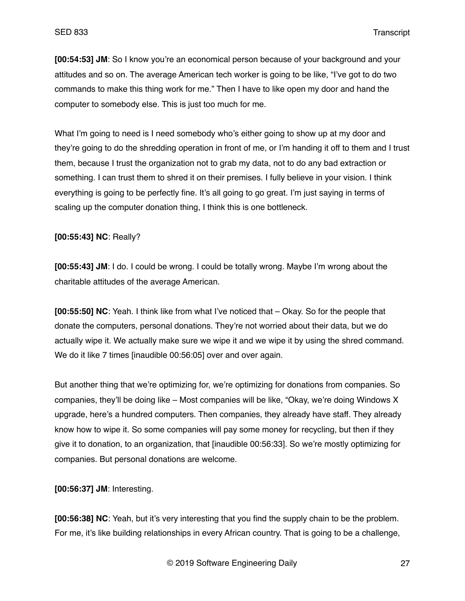**[00:54:53] JM**: So I know you're an economical person because of your background and your attitudes and so on. The average American tech worker is going to be like, "I've got to do two commands to make this thing work for me." Then I have to like open my door and hand the computer to somebody else. This is just too much for me.

What I'm going to need is I need somebody who's either going to show up at my door and they're going to do the shredding operation in front of me, or I'm handing it off to them and I trust them, because I trust the organization not to grab my data, not to do any bad extraction or something. I can trust them to shred it on their premises. I fully believe in your vision. I think everything is going to be perfectly fine. It's all going to go great. I'm just saying in terms of scaling up the computer donation thing, I think this is one bottleneck.

**[00:55:43] NC**: Really?

**[00:55:43] JM**: I do. I could be wrong. I could be totally wrong. Maybe I'm wrong about the charitable attitudes of the average American.

**[00:55:50] NC**: Yeah. I think like from what I've noticed that – Okay. So for the people that donate the computers, personal donations. They're not worried about their data, but we do actually wipe it. We actually make sure we wipe it and we wipe it by using the shred command. We do it like 7 times [inaudible 00:56:05] over and over again.

But another thing that we're optimizing for, we're optimizing for donations from companies. So companies, they'll be doing like – Most companies will be like, "Okay, we're doing Windows X upgrade, here's a hundred computers. Then companies, they already have staff. They already know how to wipe it. So some companies will pay some money for recycling, but then if they give it to donation, to an organization, that [inaudible 00:56:33]. So we're mostly optimizing for companies. But personal donations are welcome.

**[00:56:37] JM**: Interesting.

**[00:56:38] NC**: Yeah, but it's very interesting that you find the supply chain to be the problem. For me, it's like building relationships in every African country. That is going to be a challenge,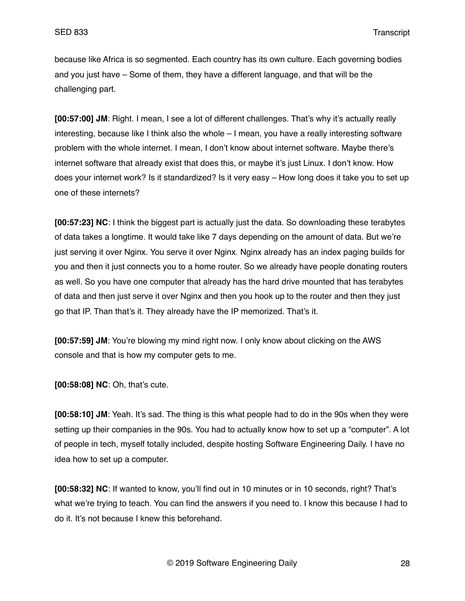because like Africa is so segmented. Each country has its own culture. Each governing bodies and you just have – Some of them, they have a different language, and that will be the challenging part.

**[00:57:00] JM**: Right. I mean, I see a lot of different challenges. That's why it's actually really interesting, because like I think also the whole – I mean, you have a really interesting software problem with the whole internet. I mean, I don't know about internet software. Maybe there's internet software that already exist that does this, or maybe it's just Linux. I don't know. How does your internet work? Is it standardized? Is it very easy – How long does it take you to set up one of these internets?

**[00:57:23] NC**: I think the biggest part is actually just the data. So downloading these terabytes of data takes a longtime. It would take like 7 days depending on the amount of data. But we're just serving it over Nginx. You serve it over Nginx. Nginx already has an index paging builds for you and then it just connects you to a home router. So we already have people donating routers as well. So you have one computer that already has the hard drive mounted that has terabytes of data and then just serve it over Nginx and then you hook up to the router and then they just go that IP. Than that's it. They already have the IP memorized. That's it.

**[00:57:59] JM**: You're blowing my mind right now. I only know about clicking on the AWS console and that is how my computer gets to me.

**[00:58:08] NC**: Oh, that's cute.

**[00:58:10] JM**: Yeah. It's sad. The thing is this what people had to do in the 90s when they were setting up their companies in the 90s. You had to actually know how to set up a "computer". A lot of people in tech, myself totally included, despite hosting Software Engineering Daily. I have no idea how to set up a computer.

**[00:58:32] NC**: If wanted to know, you'll find out in 10 minutes or in 10 seconds, right? That's what we're trying to teach. You can find the answers if you need to. I know this because I had to do it. It's not because I knew this beforehand.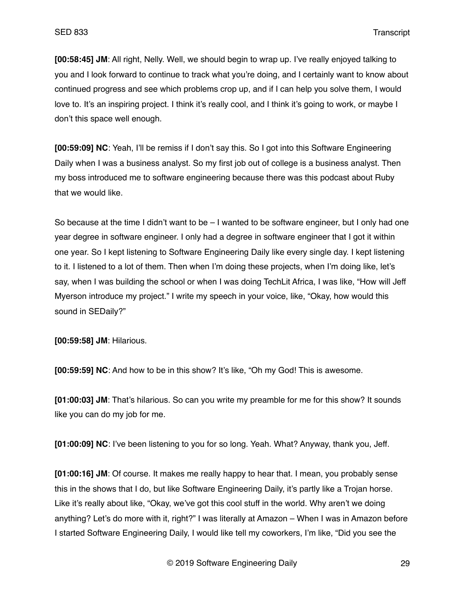**[00:58:45] JM**: All right, Nelly. Well, we should begin to wrap up. I've really enjoyed talking to you and I look forward to continue to track what you're doing, and I certainly want to know about continued progress and see which problems crop up, and if I can help you solve them, I would love to. It's an inspiring project. I think it's really cool, and I think it's going to work, or maybe I don't this space well enough.

**[00:59:09] NC**: Yeah, I'll be remiss if I don't say this. So I got into this Software Engineering Daily when I was a business analyst. So my first job out of college is a business analyst. Then my boss introduced me to software engineering because there was this podcast about Ruby that we would like.

So because at the time I didn't want to be  $-1$  wanted to be software engineer, but I only had one year degree in software engineer. I only had a degree in software engineer that I got it within one year. So I kept listening to Software Engineering Daily like every single day. I kept listening to it. I listened to a lot of them. Then when I'm doing these projects, when I'm doing like, let's say, when I was building the school or when I was doing TechLit Africa, I was like, "How will Jeff Myerson introduce my project." I write my speech in your voice, like, "Okay, how would this sound in SEDaily?"

**[00:59:58] JM**: Hilarious.

**[00:59:59] NC**: And how to be in this show? It's like, "Oh my God! This is awesome.

**[01:00:03] JM**: That's hilarious. So can you write my preamble for me for this show? It sounds like you can do my job for me.

**[01:00:09] NC**: I've been listening to you for so long. Yeah. What? Anyway, thank you, Jeff.

**[01:00:16] JM**: Of course. It makes me really happy to hear that. I mean, you probably sense this in the shows that I do, but like Software Engineering Daily, it's partly like a Trojan horse. Like it's really about like, "Okay, we've got this cool stuff in the world. Why aren't we doing anything? Let's do more with it, right?" I was literally at Amazon – When I was in Amazon before I started Software Engineering Daily, I would like tell my coworkers, I'm like, "Did you see the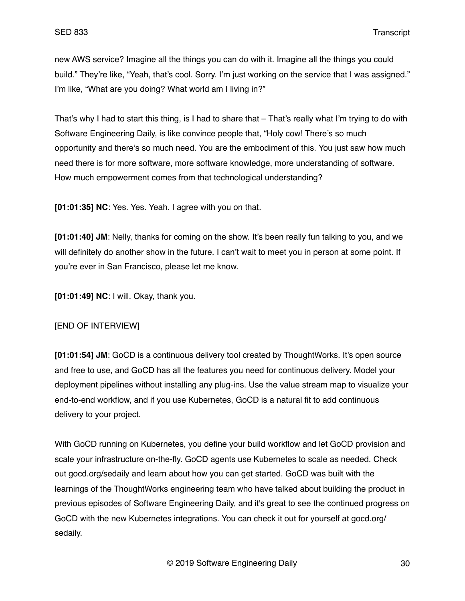new AWS service? Imagine all the things you can do with it. Imagine all the things you could build." They're like, "Yeah, that's cool. Sorry. I'm just working on the service that I was assigned." I'm like, "What are you doing? What world am I living in?"

That's why I had to start this thing, is I had to share that – That's really what I'm trying to do with Software Engineering Daily, is like convince people that, "Holy cow! There's so much opportunity and there's so much need. You are the embodiment of this. You just saw how much need there is for more software, more software knowledge, more understanding of software. How much empowerment comes from that technological understanding?

**[01:01:35] NC**: Yes. Yes. Yeah. I agree with you on that.

**[01:01:40] JM**: Nelly, thanks for coming on the show. It's been really fun talking to you, and we will definitely do another show in the future. I can't wait to meet you in person at some point. If you're ever in San Francisco, please let me know.

**[01:01:49] NC**: I will. Okay, thank you.

# [END OF INTERVIEW]

**[01:01:54] JM**: GoCD is a continuous delivery tool created by ThoughtWorks. It's open source and free to use, and GoCD has all the features you need for continuous delivery. Model your deployment pipelines without installing any plug-ins. Use the value stream map to visualize your end-to-end workflow, and if you use Kubernetes, GoCD is a natural fit to add continuous delivery to your project.

With GoCD running on Kubernetes, you define your build workflow and let GoCD provision and scale your infrastructure on-the-fly. GoCD agents use Kubernetes to scale as needed. Check out gocd.org/sedaily and learn about how you can get started. GoCD was built with the learnings of the ThoughtWorks engineering team who have talked about building the product in previous episodes of Software Engineering Daily, and it's great to see the continued progress on GoCD with the new Kubernetes integrations. You can check it out for yourself at gocd.org/ sedaily.